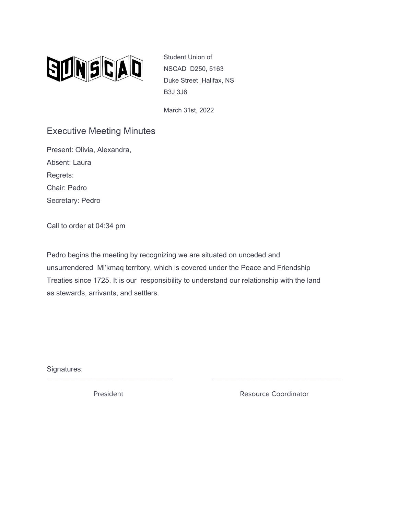

Student Union of NSCAD D250, 5163 Duke Street Halifax, NS B3J 3J6

March 31st, 2022

## Executive Meeting Minutes

Present: Olivia, Alexandra, Absent: Laura Regrets: Chair: Pedro Secretary: Pedro

Call to order at 04:34 pm

Pedro begins the meeting by recognizing we are situated on unceded and unsurrendered Mi'kmaq territory, which is covered under the Peace and Friendship Treaties since 1725. It is our responsibility to understand our relationship with the land as stewards, arrivants, and settlers.

Signatures: \_\_\_\_\_\_\_\_\_\_\_\_\_\_\_\_\_\_\_\_\_\_\_\_\_\_\_\_\_\_\_ \_\_\_\_\_\_\_\_\_\_\_\_\_\_\_\_\_\_\_\_\_\_\_\_\_\_\_\_\_\_\_\_

President **Resource Coordinator** Resource Coordinator